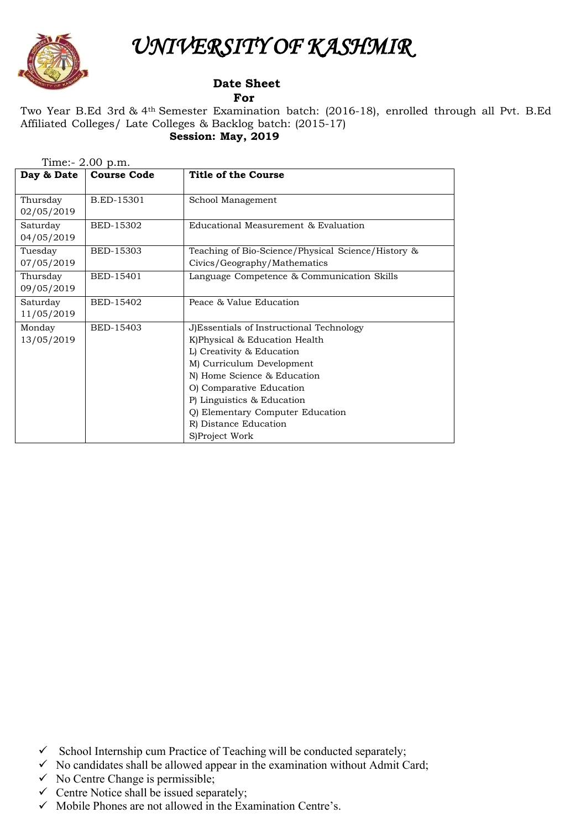

Monday 13/05/2019

## *UNIVERSITY OF KASHMIR*

## **Date Sheet For**

BED-15403 J)Essentials of Instructional Technology

R) Distance Education

S)Project Work

K)Physical & Education Health L) Creativity & Education M) Curriculum Development N) Home Science & Education O) Comparative Education P) Linguistics & Education

Q) Elementary Computer Education

## Two Year B.Ed 3rd & 4th Semester Examination batch: (2016-18), enrolled through all Pvt. B.Ed Affiliated Colleges/ Late Colleges & Backlog batch: (2015-17) **Session: May, 2019**

| Day & Date             | <b>Course Code</b> | Title of the Course                                                                |
|------------------------|--------------------|------------------------------------------------------------------------------------|
| Thursday<br>02/05/2019 | B.ED-15301         | School Management                                                                  |
| Saturday<br>04/05/2019 | BED-15302          | Educational Measurement & Evaluation                                               |
| Tuesday<br>07/05/2019  | BED-15303          | Teaching of Bio-Science/Physical Science/History &<br>Civics/Geography/Mathematics |
| Thursday<br>09/05/2019 | BED-15401          | Language Competence & Communication Skills                                         |
| Saturday<br>11/05/2019 | BED-15402          | Peace & Value Education                                                            |

Time:- 2.00 p.m.

- $\checkmark$  School Internship cum Practice of Teaching will be conducted separately;
- $\checkmark$  No candidates shall be allowed appear in the examination without Admit Card;
- $\checkmark$  No Centre Change is permissible;
- $\checkmark$  Centre Notice shall be issued separately;
- $\checkmark$  Mobile Phones are not allowed in the Examination Centre's.